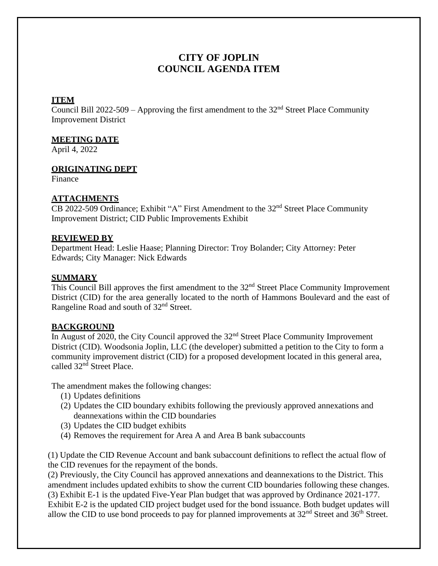# **CITY OF JOPLIN COUNCIL AGENDA ITEM**

### **ITEM**

Council Bill 2022-509 – Approving the first amendment to the  $32<sup>nd</sup>$  Street Place Community Improvement District

#### **MEETING DATE**

April 4, 2022

#### **ORIGINATING DEPT**

Finance

#### **ATTACHMENTS**

CB 2022-509 Ordinance; Exhibit "A" First Amendment to the 32<sup>nd</sup> Street Place Community Improvement District; CID Public Improvements Exhibit

#### **REVIEWED BY**

Department Head: Leslie Haase; Planning Director: Troy Bolander; City Attorney: Peter Edwards; City Manager: Nick Edwards

#### **SUMMARY**

This Council Bill approves the first amendment to the 32<sup>nd</sup> Street Place Community Improvement District (CID) for the area generally located to the north of Hammons Boulevard and the east of Rangeline Road and south of 32nd Street.

## **BACKGROUND**

In August of 2020, the City Council approved the  $32<sup>nd</sup>$  Street Place Community Improvement District (CID). Woodsonia Joplin, LLC (the developer) submitted a petition to the City to form a community improvement district (CID) for a proposed development located in this general area, called 32<sup>nd</sup> Street Place.

The amendment makes the following changes:

- (1) Updates definitions
- (2) Updates the CID boundary exhibits following the previously approved annexations and deannexations within the CID boundaries
- (3) Updates the CID budget exhibits
- (4) Removes the requirement for Area A and Area B bank subaccounts

(1) Update the CID Revenue Account and bank subaccount definitions to reflect the actual flow of the CID revenues for the repayment of the bonds.

(2) Previously, the City Council has approved annexations and deannexations to the District. This amendment includes updated exhibits to show the current CID boundaries following these changes. (3) Exhibit E-1 is the updated Five-Year Plan budget that was approved by Ordinance 2021-177. Exhibit E-2 is the updated CID project budget used for the bond issuance. Both budget updates will allow the CID to use bond proceeds to pay for planned improvements at  $32<sup>nd</sup>$  Street and  $36<sup>th</sup>$  Street.